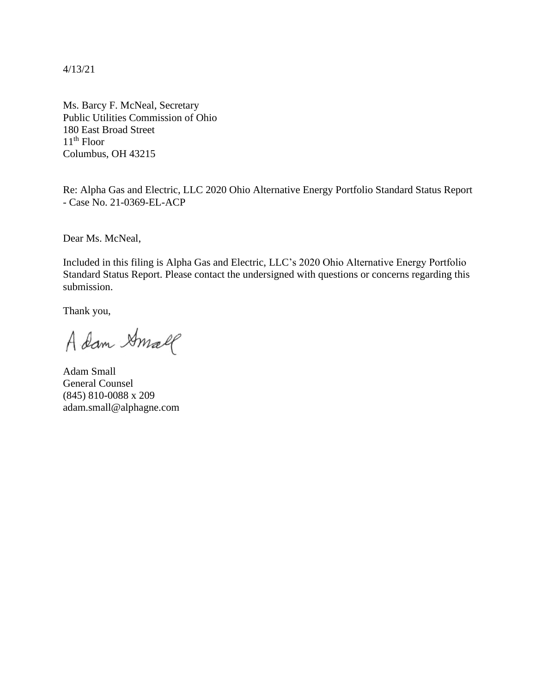4/13/21

Ms. Barcy F. McNeal, Secretary Public Utilities Commission of Ohio 180 East Broad Street  $11<sup>th</sup>$  Floor Columbus, OH 43215

Re: Alpha Gas and Electric, LLC 2020 Ohio Alternative Energy Portfolio Standard Status Report - Case No. 21-0369-EL-ACP

Dear Ms. McNeal,

Included in this filing is Alpha Gas and Electric, LLC's 2020 Ohio Alternative Energy Portfolio Standard Status Report. Please contact the undersigned with questions or concerns regarding this submission.

Thank you,

A dam Amall

Adam Small General Counsel (845) 810-0088 x 209 adam.small@alphagne.com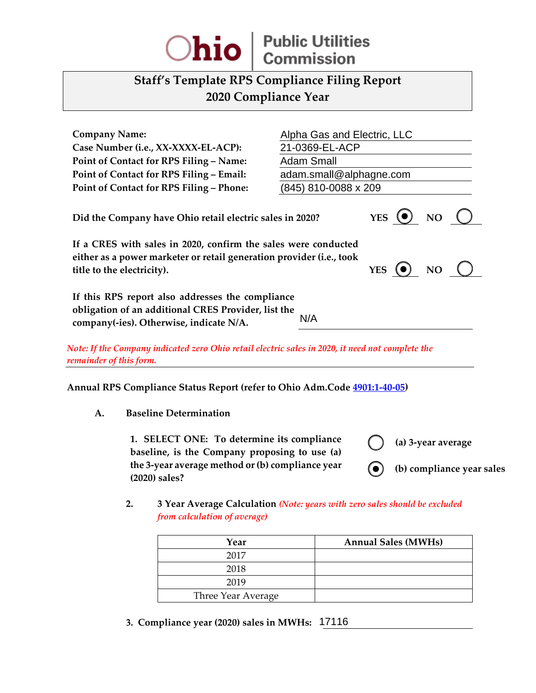

## **Staff's Template RPS Compliance Filing Report 2020 Compliance Year**

| <b>Company Name:</b><br>Case Number (i.e., XX-XXXX-EL-ACP):                                                                                                                                                              | Alpha Gas and Electric, LLC<br>21-0369-EL-ACP                              |  |  |  |  |
|--------------------------------------------------------------------------------------------------------------------------------------------------------------------------------------------------------------------------|----------------------------------------------------------------------------|--|--|--|--|
| Point of Contact for RPS Filing - Name:<br>Point of Contact for RPS Filing - Email:                                                                                                                                      | <b>Adam Small</b><br>adam.small@alphagne.com                               |  |  |  |  |
| Point of Contact for RPS Filing - Phone:                                                                                                                                                                                 | (845) 810-0088 x 209                                                       |  |  |  |  |
| Did the Company have Ohio retail electric sales in 2020?                                                                                                                                                                 | YES $\begin{pmatrix} 0 \end{pmatrix}$ NO $\begin{pmatrix} 1 \end{pmatrix}$ |  |  |  |  |
| If a CRES with sales in 2020, confirm the sales were conducted<br>either as a power marketer or retail generation provider (i.e., took<br>YES $\left( \bullet \right)$ NO $\left( \right)$<br>title to the electricity). |                                                                            |  |  |  |  |
| If this RPS report also addresses the compliance<br>obligation of an additional CRES Provider, list the<br>N/A<br>company(-ies). Otherwise, indicate N/A.                                                                |                                                                            |  |  |  |  |
| Note: If the Company indicated zero Ohio retail electric sales in 2020, it need not complete the                                                                                                                         |                                                                            |  |  |  |  |

*remainder of this form.*

**Annual RPS Compliance Status Report (refer to Ohio Adm.Code [4901:1-40-05\)](http://codes.ohio.gov/oac/4901:1-40-05v1)** 

**A. Baseline Determination**

**1. SELECT ONE: To determine its compliance baseline, is the Company proposing to use (a) the 3-year average method or (b) compliance year (2020) sales?**

**(a) 3-year average**

**(b) compliance year sales** (●) \_

**2. 3 Year Average Calculation** *(Note: years with zero sales should be excluded from calculation of average)*

| erwise, indicate N/A.                                                                                                           | N/A                                                                        |
|---------------------------------------------------------------------------------------------------------------------------------|----------------------------------------------------------------------------|
|                                                                                                                                 | ndicated zero Ohio retail electric sales in 2020, it need not complete the |
| iance Status Report (refer to Ohio Adm.Code <u>4901:1-40-05</u> )                                                               |                                                                            |
| ne Determination                                                                                                                |                                                                            |
| LECT ONE: To determine its compliance<br>ine, is the Company proposing to use (a)<br>year average method or (b) compliance year | (a) 3-year average                                                         |
| sales?                                                                                                                          | (b) compliance ye                                                          |
| from calculation of average)                                                                                                    | 3 Year Average Calculation (Note: years with zero sales should be excluded |
| Year                                                                                                                            | <b>Annual Sales (MWHs)</b>                                                 |
| 2017                                                                                                                            |                                                                            |
| 2018                                                                                                                            |                                                                            |
| 2019                                                                                                                            |                                                                            |

**3. Compliance year (2020) sales in MWHs:**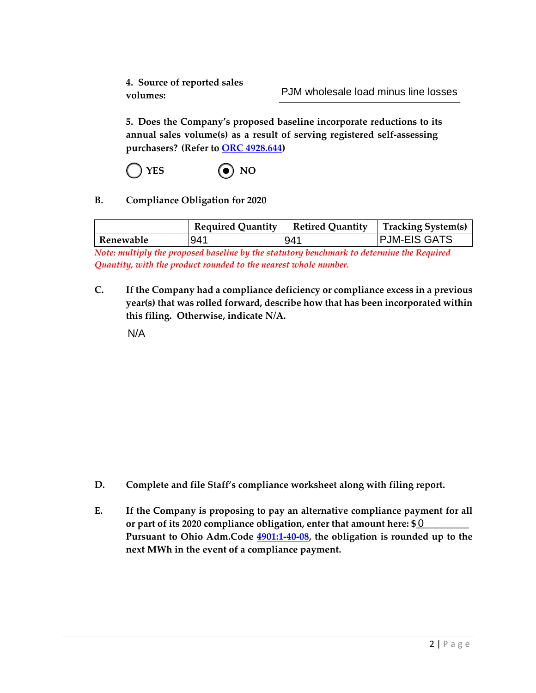**4. Source of reported sales volumes:**

**5. Does the Company's proposed baseline incorporate reductions to its annual sales volume(s) as a result of serving registered self-assessing purchasers? (Refer to ORC [4928.644\)](http://codes.ohio.gov/orc/4928.644v1)**

 $YES$  **(e)** NO

**B. Compliance Obligation for 2020**

|           | <b>Required Quantity</b> | <b>Retired Quantity</b> | Tracking System(s)  |
|-----------|--------------------------|-------------------------|---------------------|
| Renewable | 941                      | 941                     | <b>PJM-EIS GATS</b> |

*Note: multiply the proposed baseline by the statutory benchmark to determine the Required Quantity, with the product rounded to the nearest whole number.*

**C. If the Company had a compliance deficiency or compliance excess in a previous year(s) that was rolled forward, describe how that has been incorporated within this filing. Otherwise, indicate N/A.**

N/A

- **D. Complete and file Staff's compliance worksheet along with filing report.**
- **E. If the Company is proposing to pay an alternative compliance payment for all** or part of its 2020 compliance obligation, enter that amount here: \$0 \_\_\_\_\_\_\_\_\_ **Pursuant to Ohio Adm.Code [4901:1-40-08,](http://codes.ohio.gov/oac/4901:1-40-08v1) the obligation is rounded up to the next MWh in the event of a compliance payment.**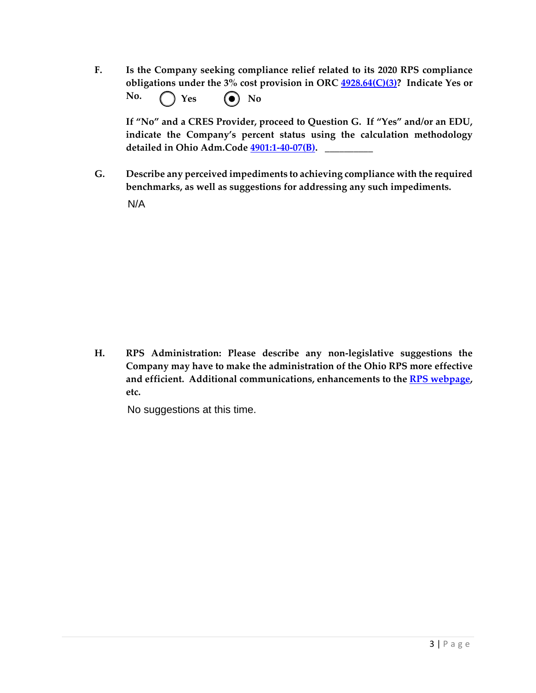**F. Is the Company seeking compliance relief related to its 2020 RPS compliance obligations under the 3% cost provision in ORC [4928.64\(C\)\(3\)?](http://codes.ohio.gov/orc/4928.64) Indicate Yes or No.**  $Yes$  **(a)** No

**If "No" and a CRES Provider, proceed to Question G. If "Yes" and/or an EDU, indicate the Company's percent status using the calculation methodology detailed in Ohio Adm.Code [4901:1-40-07\(B\).](http://codes.ohio.gov/oac/4901:1-40-07v1) \_\_\_\_\_\_\_\_\_\_**

**G. Describe any perceived impediments to achieving compliance with the required benchmarks, as well as suggestions for addressing any such impediments.**

N/A

**H. RPS Administration: Please describe any non-legislative suggestions the Company may have to make the administration of the Ohio RPS more effective and efficient. Additional communications, enhancements to the [RPS webpage,](http://www.puco.ohio.gov/puco/index.cfm/industry-information/industry-topics/ohioe28099s-renewable-and-advanced-energy-portfolio-standard/#sthash.7y6ldoLk.dpbs) etc.**

No suggestions at this time.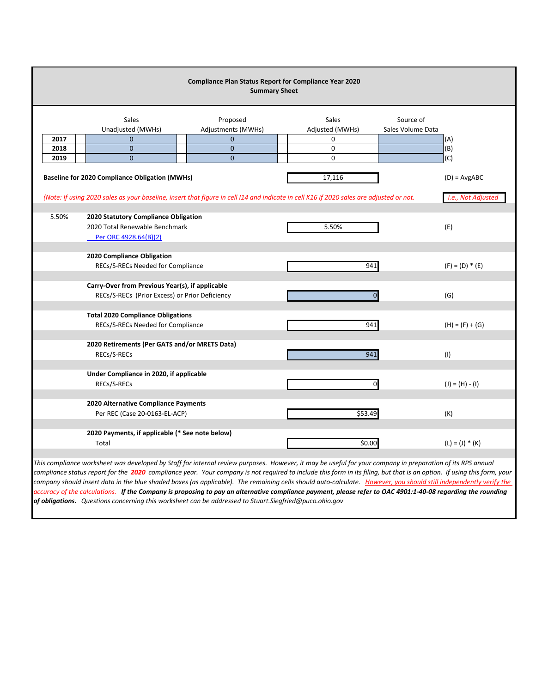|       | <b>Compliance Plan Status Report for Compliance Year 2020</b><br><b>Summary Sheet</b> |                                |                                                                                                                                         |                                |  |  |  |  |  |
|-------|---------------------------------------------------------------------------------------|--------------------------------|-----------------------------------------------------------------------------------------------------------------------------------------|--------------------------------|--|--|--|--|--|
|       | Sales<br>Unadjusted (MWHs)                                                            | Proposed<br>Adjustments (MWHs) | <b>Sales</b><br>Adjusted (MWHs)                                                                                                         | Source of<br>Sales Volume Data |  |  |  |  |  |
| 2017  | $\mathbf{0}$                                                                          | $\mathbf 0$                    | 0                                                                                                                                       | (A)                            |  |  |  |  |  |
| 2018  | 0                                                                                     | $\mathbf 0$                    | $\pmb{0}$                                                                                                                               | (B)                            |  |  |  |  |  |
| 2019  | $\mathbf{0}$                                                                          | $\mathbf{0}$                   | $\mathbf 0$                                                                                                                             | (C)                            |  |  |  |  |  |
|       | <b>Baseline for 2020 Compliance Obligation (MWHs)</b>                                 |                                | 17,116                                                                                                                                  | $(D) = AvgABC$                 |  |  |  |  |  |
|       |                                                                                       |                                | (Note: If using 2020 sales as your baseline, insert that figure in cell I14 and indicate in cell K16 if 2020 sales are adjusted or not. | i.e., Not Adjusted             |  |  |  |  |  |
|       |                                                                                       |                                |                                                                                                                                         |                                |  |  |  |  |  |
| 5.50% | 2020 Statutory Compliance Obligation                                                  |                                |                                                                                                                                         |                                |  |  |  |  |  |
|       | 2020 Total Renewable Benchmark                                                        |                                | 5.50%                                                                                                                                   | (E)                            |  |  |  |  |  |
|       | Per ORC 4928.64(B)(2)                                                                 |                                |                                                                                                                                         |                                |  |  |  |  |  |
|       | 2020 Compliance Obligation                                                            |                                |                                                                                                                                         |                                |  |  |  |  |  |
|       | RECs/S-RECs Needed for Compliance                                                     |                                | 941                                                                                                                                     | $(F) = (D) * (E)$              |  |  |  |  |  |
|       |                                                                                       |                                |                                                                                                                                         |                                |  |  |  |  |  |
|       | Carry-Over from Previous Year(s), if applicable                                       |                                |                                                                                                                                         |                                |  |  |  |  |  |
|       | (G)                                                                                   |                                |                                                                                                                                         |                                |  |  |  |  |  |
|       |                                                                                       |                                |                                                                                                                                         |                                |  |  |  |  |  |
|       | <b>Total 2020 Compliance Obligations</b><br>RECs/S-RECs Needed for Compliance         |                                | 941                                                                                                                                     |                                |  |  |  |  |  |
|       | $(H) = (F) + (G)$                                                                     |                                |                                                                                                                                         |                                |  |  |  |  |  |
|       |                                                                                       |                                |                                                                                                                                         |                                |  |  |  |  |  |
|       | 2020 Retirements (Per GATS and/or MRETS Data)<br>RECs/S-RECs                          |                                | 941                                                                                                                                     |                                |  |  |  |  |  |
|       |                                                                                       |                                |                                                                                                                                         | (1)                            |  |  |  |  |  |
|       | Under Compliance in 2020, if applicable                                               |                                |                                                                                                                                         |                                |  |  |  |  |  |
|       | RECs/S-RECs                                                                           |                                |                                                                                                                                         | $(J) = (H) - (I)$              |  |  |  |  |  |
|       |                                                                                       |                                |                                                                                                                                         |                                |  |  |  |  |  |
|       | 2020 Alternative Compliance Payments                                                  |                                |                                                                                                                                         |                                |  |  |  |  |  |
|       | Per REC (Case 20-0163-EL-ACP)                                                         |                                | \$53.49                                                                                                                                 | (K)                            |  |  |  |  |  |
|       |                                                                                       |                                |                                                                                                                                         |                                |  |  |  |  |  |
|       | 2020 Payments, if applicable (* See note below)                                       |                                |                                                                                                                                         |                                |  |  |  |  |  |
|       | Total                                                                                 |                                | \$0.00                                                                                                                                  | $(L) = (J) * (K)$              |  |  |  |  |  |

*This compliance worksheet was developed by Staff for internal review purposes. However, it may be useful for your company in preparation of its RPS annual compliance status report for the 2020 compliance year. Your company is not required to include this form in its filing, but that is an option. If using this form, your company should insert data in the blue shaded boxes (as applicable). The remaining cells should auto-calculate. However, you should still independently verify the accuracy of the calculations. If the Company is proposing to pay an alternative compliance payment, please refer to OAC 4901:1-40-08 regarding the rounding of obligations. Questions concerning this worksheet can be addressed to Stuart.Siegfried@puco.ohio.gov*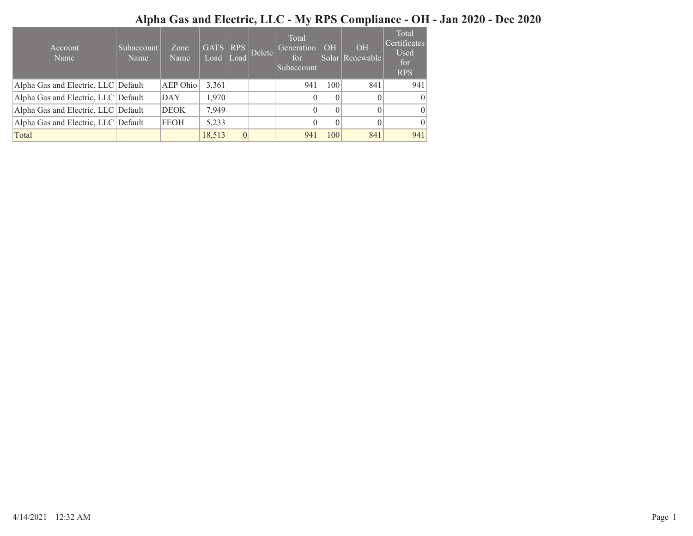## Alpha Gas and Electric, LLC - My RPS Compliance - OH - Jan 2020 - Dec 2020

| Account<br>Name                     | Subaccount<br>Name | Zone<br>Name | $\overline{\text{GATS}}$ RPS<br>Load | Load     | Delete | Total<br>Generation<br>for<br>Subaccount | OH       | <b>OH</b><br>Solar Renewable | Total<br>Certificates<br>Used<br>for<br><b>RPS</b> |
|-------------------------------------|--------------------|--------------|--------------------------------------|----------|--------|------------------------------------------|----------|------------------------------|----------------------------------------------------|
| Alpha Gas and Electric, LLC Default |                    | AEP Ohio     | 3,361                                |          |        | 941                                      | 100      | 841                          | 941                                                |
| Alpha Gas and Electric, LLC Default |                    | <b>DAY</b>   | 1,970                                |          |        | $\theta$                                 | $\theta$ | $\theta$                     | $\theta$                                           |
| Alpha Gas and Electric, LLC Default |                    | <b>DEOK</b>  | 7.949                                |          |        | $\theta$                                 | $\theta$ | $\theta$                     | $\overline{0}$                                     |
| Alpha Gas and Electric, LLC Default |                    | <b>FEOH</b>  | 5,233                                |          |        | $\theta$                                 | $\theta$ | $\Omega$                     | $\vert$ 0                                          |
| Total                               |                    |              | 18,513                               | $\theta$ |        | 941                                      | 100      | 841                          | 941                                                |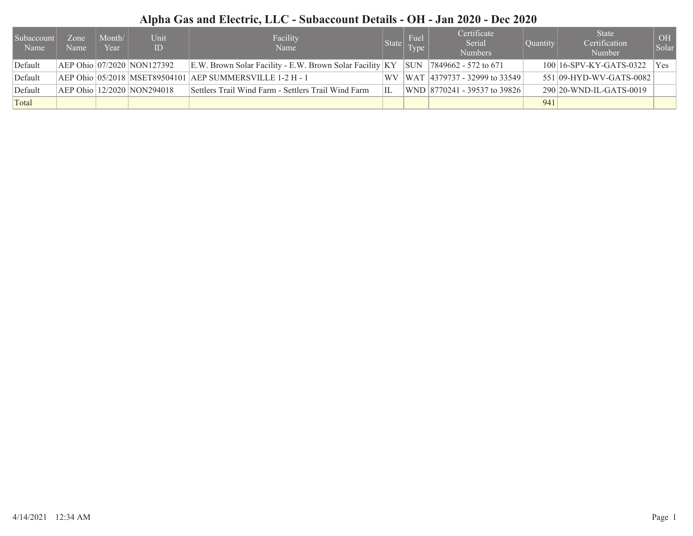## Alpha Gas and Electric, LLC - Subaccount Details - OH - Jan 2020 - Dec 2020

| Subaccount<br>Name | Zone<br>Name | Month/<br>Year | Unit<br>ID                 | Facility<br>Name                                                 |           | Fuel<br>State Type | Certificate<br>Serial<br><b>Numbers</b> | Quantity | <b>State</b><br>Certification<br>Number | OH<br>Solar |
|--------------------|--------------|----------------|----------------------------|------------------------------------------------------------------|-----------|--------------------|-----------------------------------------|----------|-----------------------------------------|-------------|
| Default            |              |                | AEP Ohio 07/2020 NON127392 | E.W. Brown Solar Facility - E.W. Brown Solar Facility $ KY $ SUN |           |                    | $ 7849662 - 572$ to 671                 |          | $100 16$ -SPV-KY-GATS-0322              | Yes         |
| Default            |              |                |                            | AEP Ohio   05/2018   MSET89504101   AEP SUMMERSVILLE 1-2 H - 1   | <b>WV</b> |                    | $ WAT $ 4379737 - 32999 to 33549        |          | 551 09-HYD-WV-GATS-0082                 |             |
| Default            |              |                | AEP Ohio 12/2020 NON294018 | Settlers Trail Wind Farm - Settlers Trail Wind Farm              | IL        |                    | WND   8770241 - 39537 to 39826          |          | $290 20$ -WND-IL-GATS-0019              |             |
| Total              |              |                |                            |                                                                  |           |                    |                                         | 941      |                                         |             |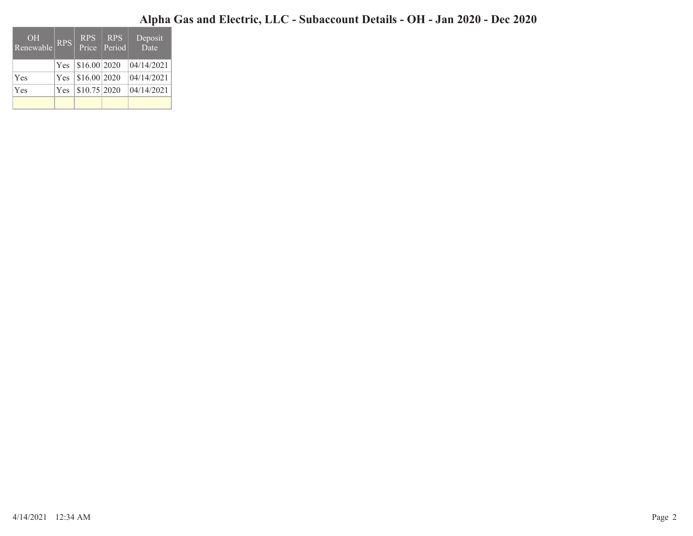## Alpha Gas and Electric, LLC - Subaccount Details - OH - Jan 2020 - Dec 2020

| OH<br>Renewable | <b>RPS</b> | <b>RPS</b>   | RPS<br>Price   Period | Deposit<br>Date |
|-----------------|------------|--------------|-----------------------|-----------------|
|                 | Yes.       | \$16.00 2020 |                       | 04/14/2021      |
| Yes             | <b>Yes</b> | \$16.00 2020 |                       | 04/14/2021      |
| Yes             | Yes.       | \$10.75 2020 |                       | 04/14/2021      |
|                 |            |              |                       |                 |